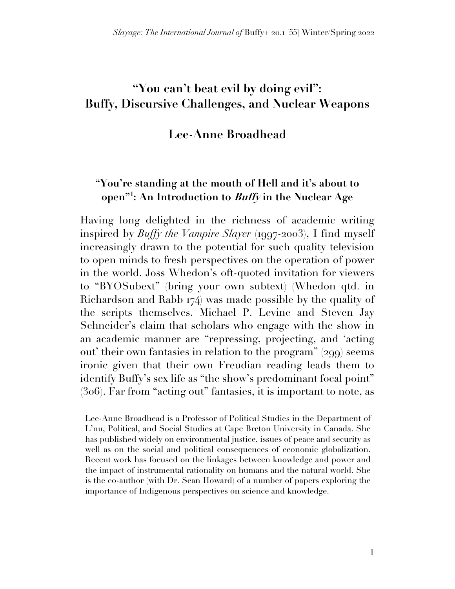# **"You can't beat evil by doing evil": Buffy, Discursive Challenges, and Nuclear Weapons**

#### **Lee-Anne Broadhead**

#### **"You're standing at the mouth of Hell and it's about to open"1 : An Introduction to Buffy in the Nuclear Age**

Having long delighted in the richness of academic writing inspired by *Buffy the Vampire Slayer* (1997-2003), I find myself increasingly drawn to the potential for such quality television to open minds to fresh perspectives on the operation of power in the world. Joss Whedon's oft-quoted invitation for viewers to "BYOSubext" (bring your own subtext) (Whedon qtd. in Richardson and Rabb 174) was made possible by the quality of the scripts themselves. Michael P. Levine and Steven Jay Schneider's claim that scholars who engage with the show in an academic manner are "repressing, projecting, and 'acting out' their own fantasies in relation to the program" (299) seems ironic given that their own Freudian reading leads them to identify Buffy's sex life as "the show's predominant focal point" (306). Far from "acting out" fantasies, it is important to note, as

Lee-Anne Broadhead is a Professor of Political Studies in the Department of L'nu, Political, and Social Studies at Cape Breton University in Canada. She has published widely on environmental justice, issues of peace and security as well as on the social and political consequences of economic globalization. Recent work has focused on the linkages between knowledge and power and the impact of instrumental rationality on humans and the natural world. She is the co-author (with Dr. Sean Howard) of a number of papers exploring the importance of Indigenous perspectives on science and knowledge.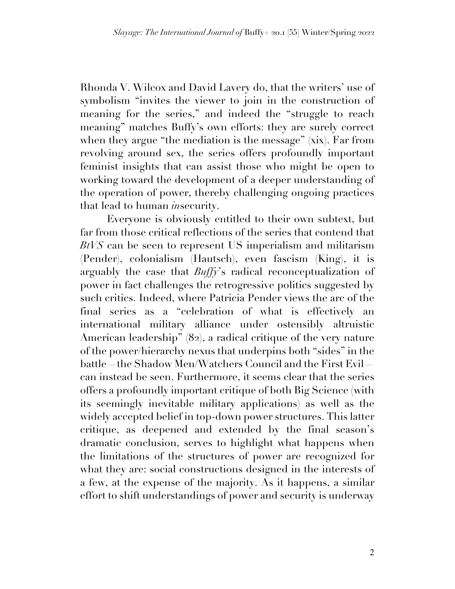Rhonda V. Wilcox and David Lavery do, that the writers' use of symbolism "invites the viewer to join in the construction of meaning for the series," and indeed the "struggle to reach meaning" matches Buffy's own efforts: they are surely correct when they argue "the mediation is the message" (xix). Far from revolving around sex, the series offers profoundly important feminist insights that can assist those who might be open to working toward the development of a deeper understanding of the operation of power, thereby challenging ongoing practices that lead to human *in*security.

Everyone is obviously entitled to their own subtext, but far from those critical reflections of the series that contend that *BtVS* can be seen to represent US imperialism and militarism (Pender), colonialism (Hautsch), even fascism (King), it is arguably the case that *Buffy*'s radical reconceptualization of power in fact challenges the retrogressive politics suggested by such critics. Indeed, where Patricia Pender views the arc of the final series as a "celebration of what is effectively an international military alliance under ostensibly altruistic American leadership" (82), a radical critique of the very nature of the power/hierarchy nexus that underpins both "sides" in the battle—the Shadow Men/Watchers Council and the First Evil can instead be seen. Furthermore, it seems clear that the series offers a profoundly important critique of both Big Science (with its seemingly inevitable military applications) as well as the widely accepted belief in top-down power structures. This latter critique, as deepened and extended by the final season's dramatic conclusion, serves to highlight what happens when the limitations of the structures of power are recognized for what they are: social constructions designed in the interests of a few, at the expense of the majority. As it happens, a similar effort to shift understandings of power and security is underway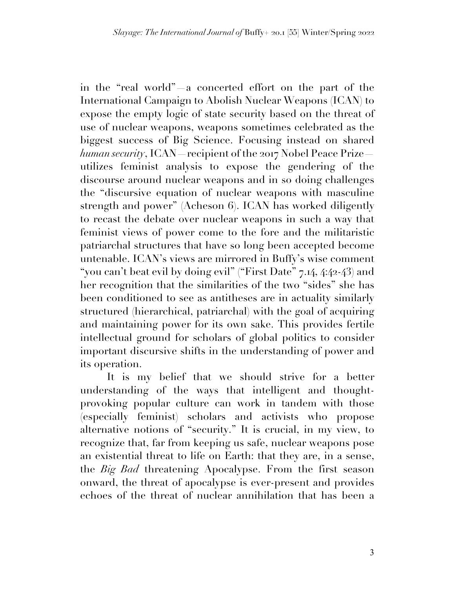in the "real world"—a concerted effort on the part of the International Campaign to Abolish Nuclear Weapons (ICAN) to expose the empty logic of state security based on the threat of use of nuclear weapons, weapons sometimes celebrated as the biggest success of Big Science. Focusing instead on shared *human security*, ICAN—recipient of the 2017 Nobel Peace Prize utilizes feminist analysis to expose the gendering of the discourse around nuclear weapons and in so doing challenges the "discursive equation of nuclear weapons with masculine strength and power" (Acheson 6). ICAN has worked diligently to recast the debate over nuclear weapons in such a way that feminist views of power come to the fore and the militaristic patriarchal structures that have so long been accepted become untenable. ICAN's views are mirrored in Buffy's wise comment "you can't beat evil by doing evil" ("First Date" 7.14, 4:42-43) and her recognition that the similarities of the two "sides" she has been conditioned to see as antitheses are in actuality similarly structured (hierarchical, patriarchal) with the goal of acquiring and maintaining power for its own sake. This provides fertile intellectual ground for scholars of global politics to consider important discursive shifts in the understanding of power and its operation.

It is my belief that we should strive for a better understanding of the ways that intelligent and thoughtprovoking popular culture can work in tandem with those (especially feminist) scholars and activists who propose alternative notions of "security." It is crucial, in my view, to recognize that, far from keeping us safe, nuclear weapons pose an existential threat to life on Earth: that they are, in a sense, the *Big Bad* threatening Apocalypse. From the first season onward, the threat of apocalypse is ever-present and provides echoes of the threat of nuclear annihilation that has been a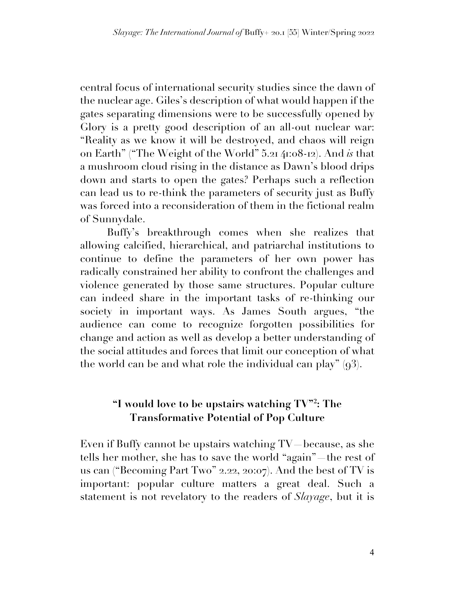central focus of international security studies since the dawn of the nuclear age. Giles's description of what would happen if the gates separating dimensions were to be successfully opened by Glory is a pretty good description of an all-out nuclear war: "Reality as we know it will be destroyed, and chaos will reign on Earth" ("The Weight of the World" 5.21 41:08-12). And *is* that a mushroom cloud rising in the distance as Dawn's blood drips down and starts to open the gates? Perhaps such a reflection can lead us to re-think the parameters of security just as Buffy was forced into a reconsideration of them in the fictional realm of Sunnydale.

Buffy's breakthrough comes when she realizes that allowing calcified, hierarchical, and patriarchal institutions to continue to define the parameters of her own power has radically constrained her ability to confront the challenges and violence generated by those same structures. Popular culture can indeed share in the important tasks of re-thinking our society in important ways. As James South argues, "the audience can come to recognize forgotten possibilities for change and action as well as develop a better understanding of the social attitudes and forces that limit our conception of what the world can be and what role the individual can play"  $(93)$ .

## **"I would love to be upstairs watching TV"2 : The Transformative Potential of Pop Culture**

Even if Buffy cannot be upstairs watching TV—because, as she tells her mother, she has to save the world "again"—the rest of us can ("Becoming Part Two" 2.22, 20:07). And the best of TV is important: popular culture matters a great deal. Such a statement is not revelatory to the readers of *Slayage*, but it is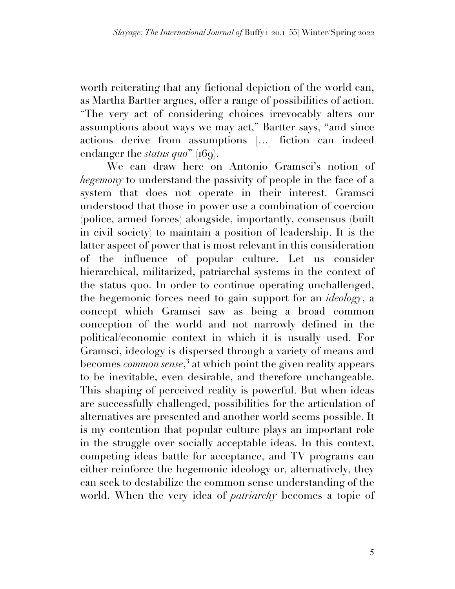worth reiterating that any fictional depiction of the world can, as Martha Bartter argues, offer a range of possibilities of action. "The very act of considering choices irrevocably alters our assumptions about ways we may act," Bartter says, "and since actions derive from assumptions […] fiction can indeed endanger the *status quo*" (169).

We can draw here on Antonio Gramsci's notion of *hegemony* to understand the passivity of people in the face of a system that does not operate in their interest. Gramsci understood that those in power use a combination of coercion (police, armed forces) alongside, importantly, consensus (built in civil society) to maintain a position of leadership. It is the latter aspect of power that is most relevant in this consideration of the influence of popular culture. Let us consider hierarchical, militarized, patriarchal systems in the context of the status quo. In order to continue operating unchallenged, the hegemonic forces need to gain support for an *ideology*, a concept which Gramsci saw as being a broad common conception of the world and not narrowly defined in the political/economic context in which it is usually used. For Gramsci, ideology is dispersed through a variety of means and becomes *common sense*, <sup>3</sup> at which point the given reality appears to be inevitable, even desirable, and therefore unchangeable. This shaping of perceived reality is powerful. But when ideas are successfully challenged, possibilities for the articulation of alternatives are presented and another world seems possible. It is my contention that popular culture plays an important role in the struggle over socially acceptable ideas. In this context, competing ideas battle for acceptance, and TV programs can either reinforce the hegemonic ideology or, alternatively, they can seek to destabilize the common sense understanding of the world. When the very idea of *patriarchy* becomes a topic of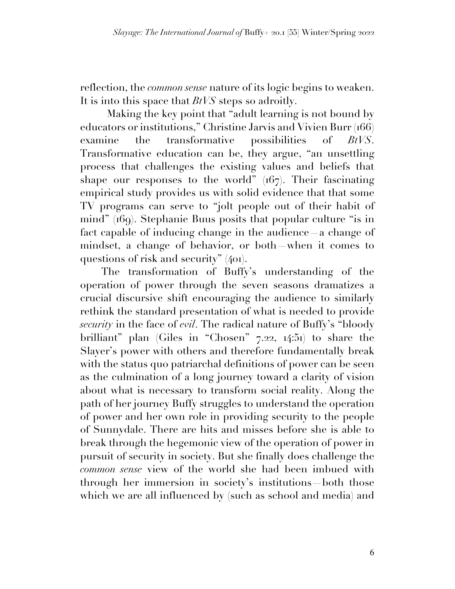reflection, the *common sense* nature of its logic begins to weaken. It is into this space that *BtVS* steps so adroitly.

Making the key point that "adult learning is not bound by educators or institutions," Christine Jarvis and Vivien Burr (166) examine the transformative possibilities of *BtVS*. Transformative education can be, they argue, "an unsettling process that challenges the existing values and beliefs that shape our responses to the world"  $(167)$ . Their fascinating empirical study provides us with solid evidence that that some TV programs can serve to "jolt people out of their habit of mind" (169). Stephanie Buus posits that popular culture "is in fact capable of inducing change in the audience—a change of mindset, a change of behavior, or both—when it comes to questions of risk and security" (401).

The transformation of Buffy's understanding of the operation of power through the seven seasons dramatizes a crucial discursive shift encouraging the audience to similarly rethink the standard presentation of what is needed to provide *security* in the face of *evil*. The radical nature of Buffy's "bloody brilliant" plan (Giles in "Chosen" 7.22, 14:51) to share the Slayer's power with others and therefore fundamentally break with the status quo patriarchal definitions of power can be seen as the culmination of a long journey toward a clarity of vision about what is necessary to transform social reality. Along the path of her journey Buffy struggles to understand the operation of power and her own role in providing security to the people of Sunnydale. There are hits and misses before she is able to break through the hegemonic view of the operation of power in pursuit of security in society. But she finally does challenge the *common sense* view of the world she had been imbued with through her immersion in society's institutions—both those which we are all influenced by (such as school and media) and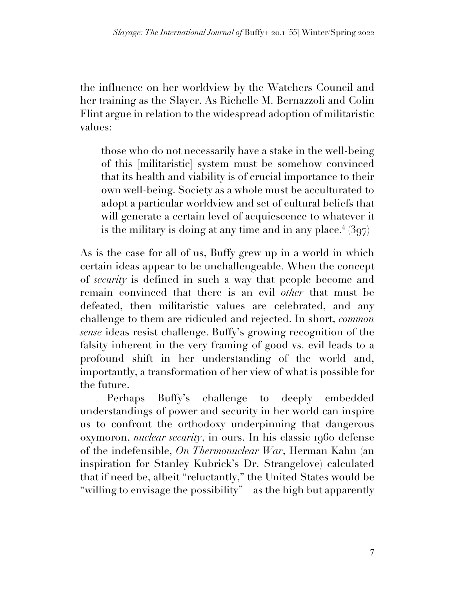the influence on her worldview by the Watchers Council and her training as the Slayer. As Richelle M. Bernazzoli and Colin Flint argue in relation to the widespread adoption of militaristic values:

those who do not necessarily have a stake in the well-being of this [militaristic] system must be somehow convinced that its health and viability is of crucial importance to their own well-being. Society as a whole must be acculturated to adopt a particular worldview and set of cultural beliefs that will generate a certain level of acquiescence to whatever it is the military is doing at any time and in any place.<sup>4</sup>  $(397)$ 

As is the case for all of us, Buffy grew up in a world in which certain ideas appear to be unchallengeable. When the concept of *security* is defined in such a way that people become and remain convinced that there is an evil *other* that must be defeated, then militaristic values are celebrated, and any challenge to them are ridiculed and rejected. In short, *common sense* ideas resist challenge. Buffy's growing recognition of the falsity inherent in the very framing of good vs. evil leads to a profound shift in her understanding of the world and, importantly, a transformation of her view of what is possible for the future.

Perhaps Buffy's challenge to deeply embedded understandings of power and security in her world can inspire us to confront the orthodoxy underpinning that dangerous oxymoron, *nuclear security*, in ours. In his classic 1960 defense of the indefensible, *On Thermonuclear War*, Herman Kahn (an inspiration for Stanley Kubrick's Dr. Strangelove) calculated that if need be, albeit "reluctantly," the United States would be "willing to envisage the possibility"—as the high but apparently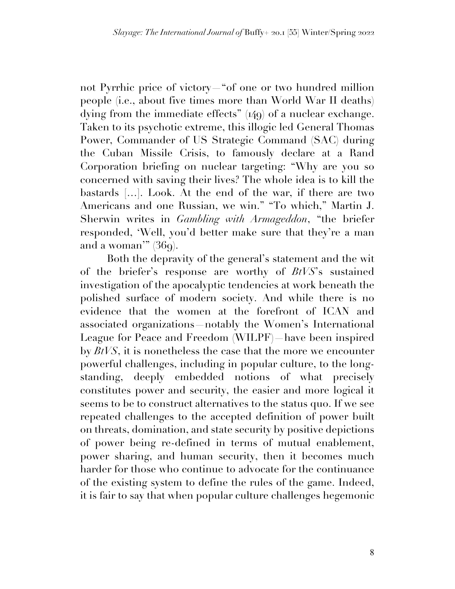not Pyrrhic price of victory—"of one or two hundred million people (i.e., about five times more than World War II deaths) dying from the immediate effects" (149) of a nuclear exchange. Taken to its psychotic extreme, this illogic led General Thomas Power, Commander of US Strategic Command (SAC) during the Cuban Missile Crisis, to famously declare at a Rand Corporation briefing on nuclear targeting: "Why are you so concerned with saving their lives? The whole idea is to kill the bastards […]. Look. At the end of the war, if there are two Americans and one Russian, we win." "To which," Martin J. Sherwin writes in *Gambling with Armageddon*, "the briefer responded, 'Well, you'd better make sure that they're a man and a woman'"  $(36q)$ .

Both the depravity of the general's statement and the wit of the briefer's response are worthy of *BtVS*'s sustained investigation of the apocalyptic tendencies at work beneath the polished surface of modern society. And while there is no evidence that the women at the forefront of ICAN and associated organizations—notably the Women's International League for Peace and Freedom (WILPF)—have been inspired by *BtVS*, it is nonetheless the case that the more we encounter powerful challenges, including in popular culture, to the longstanding, deeply embedded notions of what precisely constitutes power and security, the easier and more logical it seems to be to construct alternatives to the status quo. If we see repeated challenges to the accepted definition of power built on threats, domination, and state security by positive depictions of power being re-defined in terms of mutual enablement, power sharing, and human security, then it becomes much harder for those who continue to advocate for the continuance of the existing system to define the rules of the game. Indeed, it is fair to say that when popular culture challenges hegemonic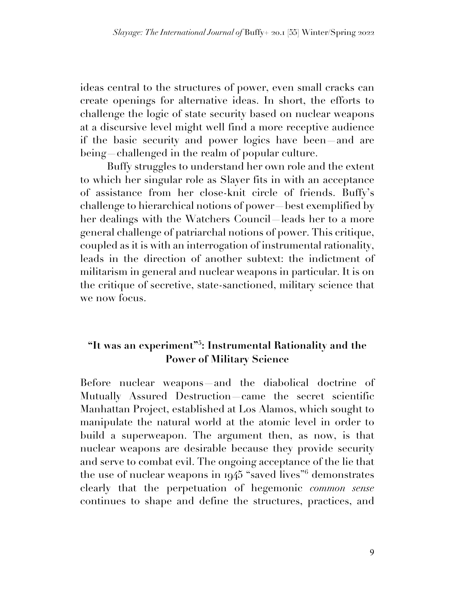ideas central to the structures of power, even small cracks can create openings for alternative ideas. In short, the efforts to challenge the logic of state security based on nuclear weapons at a discursive level might well find a more receptive audience if the basic security and power logics have been—and are being—challenged in the realm of popular culture.

Buffy struggles to understand her own role and the extent to which her singular role as Slayer fits in with an acceptance of assistance from her close-knit circle of friends. Buffy's challenge to hierarchical notions of power—best exemplified by her dealings with the Watchers Council—leads her to a more general challenge of patriarchal notions of power. This critique, coupled as it is with an interrogation of instrumental rationality, leads in the direction of another subtext: the indictment of militarism in general and nuclear weapons in particular. It is on the critique of secretive, state-sanctioned, military science that we now focus.

## **"It was an experiment"5 : Instrumental Rationality and the Power of Military Science**

Before nuclear weapons—and the diabolical doctrine of Mutually Assured Destruction—came the secret scientific Manhattan Project, established at Los Alamos, which sought to manipulate the natural world at the atomic level in order to build a superweapon. The argument then, as now, is that nuclear weapons are desirable because they provide security and serve to combat evil. The ongoing acceptance of the lie that the use of nuclear weapons in 1945 "saved lives"<sup>6</sup> demonstrates clearly that the perpetuation of hegemonic *common sense*  continues to shape and define the structures, practices, and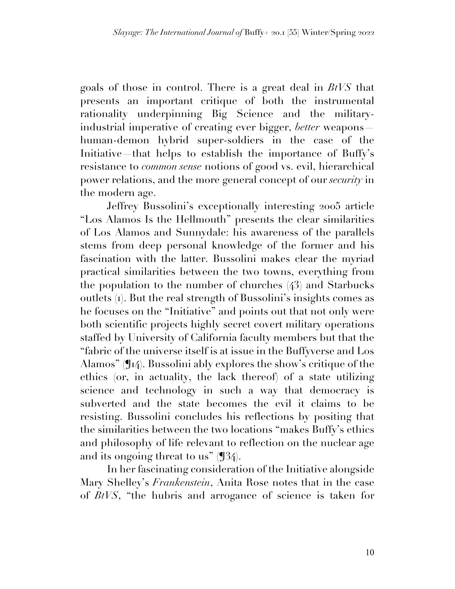goals of those in control. There is a great deal in *BtVS* that presents an important critique of both the instrumental rationality underpinning Big Science and the militaryindustrial imperative of creating ever bigger, *better* weapons human-demon hybrid super-soldiers in the case of the Initiative that helps to establish the importance of Buffy's resistance to *common sense* notions of good vs. evil, hierarchical power relations, and the more general concept of our *security* in the modern age.

Jeffrey Bussolini's exceptionally interesting 2005 article "Los Alamos Is the Hellmouth" presents the clear similarities of Los Alamos and Sunnydale: his awareness of the parallels stems from deep personal knowledge of the former and his fascination with the latter. Bussolini makes clear the myriad practical similarities between the two towns, everything from the population to the number of churches (43) and Starbucks outlets (1). But the real strength of Bussolini's insights comes as he focuses on the "Initiative" and points out that not only were both scientific projects highly secret covert military operations staffed by University of California faculty members but that the "fabric of the universe itself is at issue in the Buffyverse and Los Alamos" (¶14). Bussolini ably explores the show's critique of the ethics (or, in actuality, the lack thereof) of a state utilizing science and technology in such a way that democracy is subverted and the state becomes the evil it claims to be resisting. Bussolini concludes his reflections by positing that the similarities between the two locations "makes Buffy's ethics and philosophy of life relevant to reflection on the nuclear age and its ongoing threat to us" (¶34).

In her fascinating consideration of the Initiative alongside Mary Shelley's *Frankenstein*, Anita Rose notes that in the case of *BtVS*, "the hubris and arrogance of science is taken for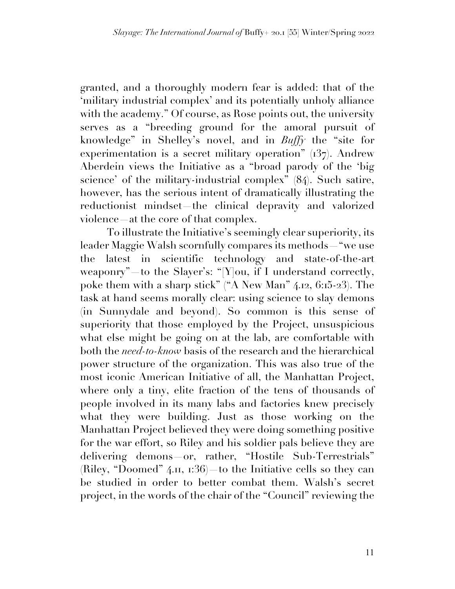granted, and a thoroughly modern fear is added: that of the 'military industrial complex' and its potentially unholy alliance with the academy." Of course, as Rose points out, the university serves as a "breeding ground for the amoral pursuit of knowledge" in Shelley's novel, and in *Buffy* the "site for experimentation is a secret military operation" (137). Andrew Aberdein views the Initiative as a "broad parody of the 'big science' of the military-industrial complex" (84). Such satire, however, has the serious intent of dramatically illustrating the reductionist mindset—the clinical depravity and valorized violence—at the core of that complex.

To illustrate the Initiative's seemingly clear superiority, its leader Maggie Walsh scornfully compares its methods—"we use the latest in scientific technology and state-of-the-art weaponry" to the Slayer's: "[Y]ou, if I understand correctly, poke them with a sharp stick" ("A New Man" 4.12, 6:15-23). The task at hand seems morally clear: using science to slay demons (in Sunnydale and beyond). So common is this sense of superiority that those employed by the Project, unsuspicious what else might be going on at the lab, are comfortable with both the *need-to-know* basis of the research and the hierarchical power structure of the organization. This was also true of the most iconic American Initiative of all, the Manhattan Project, where only a tiny, elite fraction of the tens of thousands of people involved in its many labs and factories knew precisely what they were building. Just as those working on the Manhattan Project believed they were doing something positive for the war effort, so Riley and his soldier pals believe they are delivering demons or, rather, "Hostile Sub-Terrestrials" (Riley, "Doomed" 4.11, 1:36)—to the Initiative cells so they can be studied in order to better combat them. Walsh's secret project, in the words of the chair of the "Council" reviewing the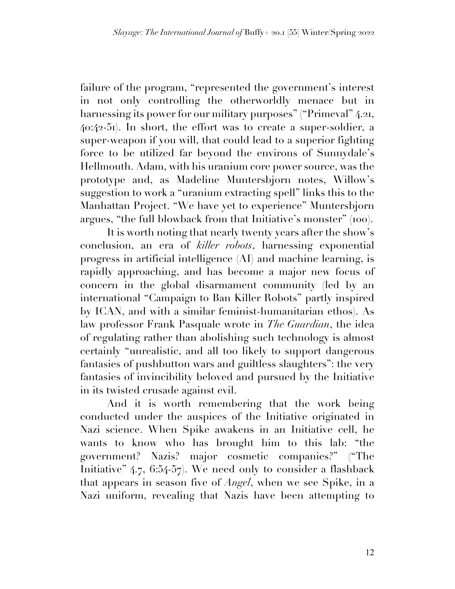failure of the program, "represented the government's interest in not only controlling the otherworldly menace but in harnessing its power for our military purposes" ("Primeval" 4.21, 40:42-51). In short, the effort was to create a super-soldier, a super-weapon if you will, that could lead to a superior fighting force to be utilized far beyond the environs of Sunnydale's Hellmouth. Adam, with his uranium core power source, was the prototype and, as Madeline Muntersbjorn notes, Willow's suggestion to work a "uranium extracting spell" links this to the Manhattan Project. "We have yet to experience" Muntersbjorn argues, "the full blowback from that Initiative's monster" (100).

It is worth noting that nearly twenty years after the show's conclusion, an era of *killer robots*, harnessing exponential progress in artificial intelligence (AI) and machine learning, is rapidly approaching, and has become a major new focus of concern in the global disarmament community (led by an international "Campaign to Ban Killer Robots" partly inspired by ICAN, and with a similar feminist-humanitarian ethos). As law professor Frank Pasquale wrote in *The Guardian*, the idea of regulating rather than abolishing such technology is almost certainly "unrealistic, and all too likely to support dangerous fantasies of pushbutton wars and guiltless slaughters": the very fantasies of invincibility beloved and pursued by the Initiative in its twisted crusade against evil.

And it is worth remembering that the work being conducted under the auspices of the Initiative originated in Nazi science. When Spike awakens in an Initiative cell, he wants to know who has brought him to this lab: "the government? Nazis? major cosmetic companies?" ("The Initiative" 4.7, 6:54-57). We need only to consider a flashback that appears in season five of *Angel*, when we see Spike, in a Nazi uniform, revealing that Nazis have been attempting to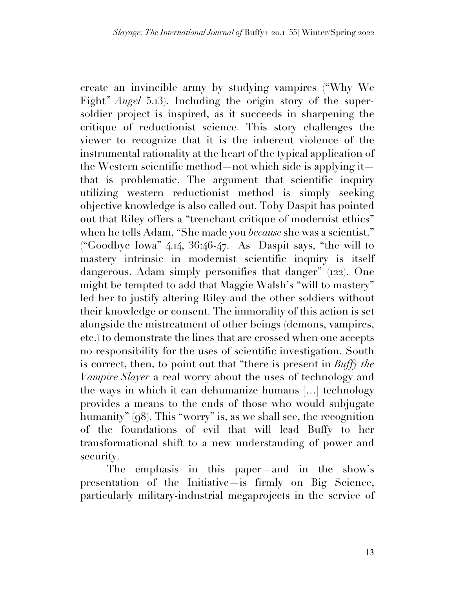create an invincible army by studying vampires ("Why We Fight*" Angel* 5.13). Including the origin story of the supersoldier project is inspired, as it succeeds in sharpening the critique of reductionist science. This story challenges the viewer to recognize that it is the inherent violence of the instrumental rationality at the heart of the typical application of the Western scientific method—not which side is applying it that is problematic. The argument that scientific inquiry utilizing western reductionist method is simply seeking objective knowledge is also called out. Toby Daspit has pointed out that Riley offers a "trenchant critique of modernist ethics" when he tells Adam, "She made you *because* she was a scientist." ("Goodbye Iowa" 4.14, 36:46-47. As Daspit says, "the will to mastery intrinsic in modernist scientific inquiry is itself dangerous. Adam simply personifies that danger" (122). One might be tempted to add that Maggie Walsh's "will to mastery" led her to justify altering Riley and the other soldiers without their knowledge or consent. The immorality of this action is set alongside the mistreatment of other beings (demons, vampires, etc.) to demonstrate the lines that are crossed when one accepts no responsibility for the uses of scientific investigation. South is correct, then, to point out that "there is present in *Buffy the Vampire Slayer* a real worry about the uses of technology and the ways in which it can dehumanize humans […] technology provides a means to the ends of those who would subjugate humanity" (98). This "worry" is, as we shall see, the recognition of the foundations of evil that will lead Buffy to her transformational shift to a new understanding of power and security.

The emphasis in this paper and in the show's presentation of the Initiative—is firmly on Big Science, particularly military-industrial megaprojects in the service of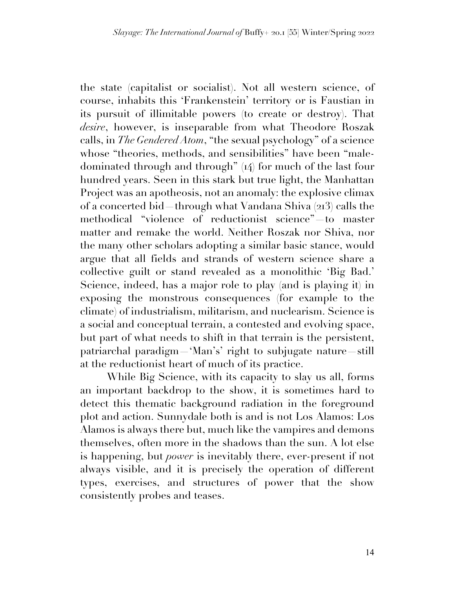the state (capitalist or socialist). Not all western science, of course, inhabits this 'Frankenstein' territory or is Faustian in its pursuit of illimitable powers (to create or destroy). That *desire*, however, is inseparable from what Theodore Roszak calls, in *The Gendered Atom*, "the sexual psychology" of a science whose "theories, methods, and sensibilities" have been "maledominated through and through" (14) for much of the last four hundred years. Seen in this stark but true light, the Manhattan Project was an apotheosis, not an anomaly: the explosive climax of a concerted bid—through what Vandana Shiva (213) calls the methodical "violence of reductionist science"—to master matter and remake the world. Neither Roszak nor Shiva, nor the many other scholars adopting a similar basic stance, would argue that all fields and strands of western science share a collective guilt or stand revealed as a monolithic 'Big Bad.' Science, indeed, has a major role to play (and is playing it) in exposing the monstrous consequences (for example to the climate) of industrialism, militarism, and nuclearism. Science is a social and conceptual terrain, a contested and evolving space, but part of what needs to shift in that terrain is the persistent, patriarchal paradigm—'Man's' right to subjugate nature—still at the reductionist heart of much of its practice.

While Big Science, with its capacity to slay us all, forms an important backdrop to the show, it is sometimes hard to detect this thematic background radiation in the foreground plot and action. Sunnydale both is and is not Los Alamos: Los Alamos is always there but, much like the vampires and demons themselves, often more in the shadows than the sun. A lot else is happening, but *power* is inevitably there, ever-present if not always visible, and it is precisely the operation of different types, exercises, and structures of power that the show consistently probes and teases.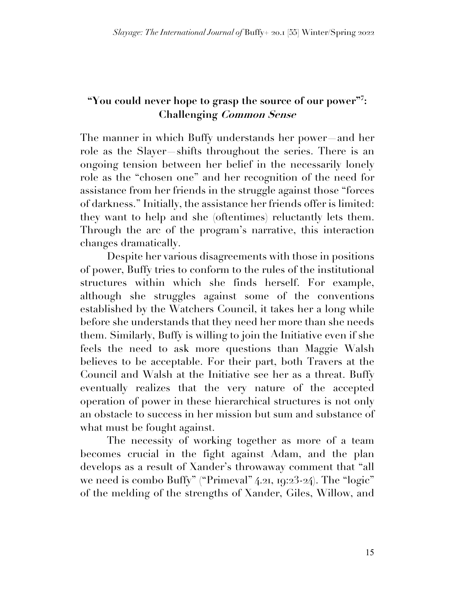## **"You could never hope to grasp the source of our power"7 : Challenging Common Sense**

The manner in which Buffy understands her power—and her role as the Slayer—shifts throughout the series. There is an ongoing tension between her belief in the necessarily lonely role as the "chosen one" and her recognition of the need for assistance from her friends in the struggle against those "forces of darkness." Initially, the assistance her friends offer is limited: they want to help and she (oftentimes) reluctantly lets them. Through the arc of the program's narrative, this interaction changes dramatically.

Despite her various disagreements with those in positions of power, Buffy tries to conform to the rules of the institutional structures within which she finds herself. For example, although she struggles against some of the conventions established by the Watchers Council, it takes her a long while before she understands that they need her more than she needs them. Similarly, Buffy is willing to join the Initiative even if she feels the need to ask more questions than Maggie Walsh believes to be acceptable. For their part, both Travers at the Council and Walsh at the Initiative see her as a threat. Buffy eventually realizes that the very nature of the accepted operation of power in these hierarchical structures is not only an obstacle to success in her mission but sum and substance of what must be fought against.

The necessity of working together as more of a team becomes crucial in the fight against Adam, and the plan develops as a result of Xander's throwaway comment that "all we need is combo Buffy" ("Primeval" 4.21, 19:23-24). The "logic" of the melding of the strengths of Xander, Giles, Willow, and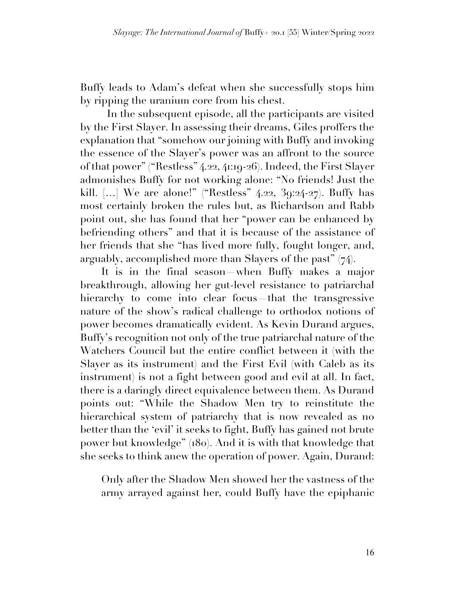Buffy leads to Adam's defeat when she successfully stops him by ripping the uranium core from his chest.

In the subsequent episode, all the participants are visited by the First Slayer. In assessing their dreams, Giles proffers the explanation that "somehow our joining with Buffy and invoking the essence of the Slayer's power was an affront to the source of that power" ("Restless" 4.22, 41:19-26). Indeed, the First Slayer admonishes Buffy for not working alone: "No friends! Just the kill. [...] We are alone!" ("Restless" 4.22, 39:24-27). Buffy has most certainly broken the rules but, as Richardson and Rabb point out, she has found that her "power can be enhanced by befriending others" and that it is because of the assistance of her friends that she "has lived more fully, fought longer, and, arguably, accomplished more than Slayers of the past" (74).

It is in the final season—when Buffy makes a major breakthrough, allowing her gut-level resistance to patriarchal hierarchy to come into clear focus—that the transgressive nature of the show's radical challenge to orthodox notions of power becomes dramatically evident. As Kevin Durand argues, Buffy's recognition not only of the true patriarchal nature of the Watchers Council but the entire conflict between it (with the Slayer as its instrument) and the First Evil (with Caleb as its instrument) is not a fight between good and evil at all. In fact, there is a daringly direct equivalence between them. As Durand points out: "While the Shadow Men try to reinstitute the hierarchical system of patriarchy that is now revealed as no better than the 'evil' it seeks to fight, Buffy has gained not brute power but knowledge" (180). And it is with that knowledge that she seeks to think anew the operation of power. Again, Durand:

Only after the Shadow Men showed her the vastness of the army arrayed against her, could Buffy have the epiphanic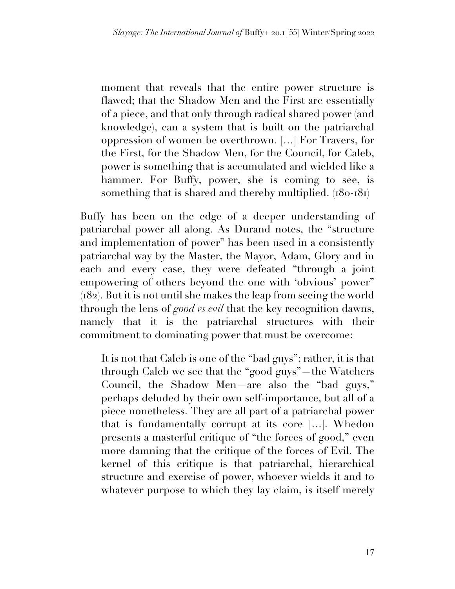moment that reveals that the entire power structure is flawed; that the Shadow Men and the First are essentially of a piece, and that only through radical shared power (and knowledge), can a system that is built on the patriarchal oppression of women be overthrown. […] For Travers, for the First, for the Shadow Men, for the Council, for Caleb, power is something that is accumulated and wielded like a hammer. For Buffy, power, she is coming to see, is something that is shared and thereby multiplied. (180-181)

Buffy has been on the edge of a deeper understanding of patriarchal power all along. As Durand notes, the "structure and implementation of power" has been used in a consistently patriarchal way by the Master, the Mayor, Adam, Glory and in each and every case, they were defeated "through a joint empowering of others beyond the one with 'obvious' power" (182). But it is not until she makes the leap from seeing the world through the lens of *good vs evil* that the key recognition dawns, namely that it is the patriarchal structures with their commitment to dominating power that must be overcome:

It is not that Caleb is one of the "bad guys"; rather, it is that through Caleb we see that the "good guys"—the Watchers Council, the Shadow Men—are also the "bad guys," perhaps deluded by their own self-importance, but all of a piece nonetheless. They are all part of a patriarchal power that is fundamentally corrupt at its core […]. Whedon presents a masterful critique of "the forces of good," even more damning that the critique of the forces of Evil. The kernel of this critique is that patriarchal, hierarchical structure and exercise of power, whoever wields it and to whatever purpose to which they lay claim, is itself merely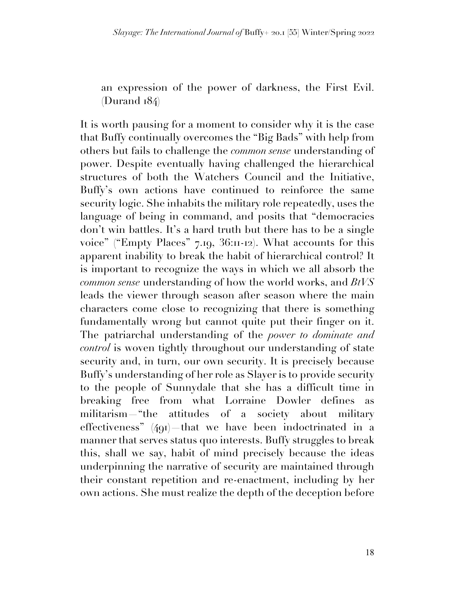an expression of the power of darkness, the First Evil. (Durand 184)

It is worth pausing for a moment to consider why it is the case that Buffy continually overcomes the "Big Bads" with help from others but fails to challenge the *common sense* understanding of power. Despite eventually having challenged the hierarchical structures of both the Watchers Council and the Initiative, Buffy's own actions have continued to reinforce the same security logic. She inhabits the military role repeatedly, uses the language of being in command, and posits that "democracies don't win battles. It's a hard truth but there has to be a single voice" ("Empty Places" 7.19, 36:11-12). What accounts for this apparent inability to break the habit of hierarchical control? It is important to recognize the ways in which we all absorb the *common sense* understanding of how the world works, and *BtVS* leads the viewer through season after season where the main characters come close to recognizing that there is something fundamentally wrong but cannot quite put their finger on it. The patriarchal understanding of the *power to dominate and control* is woven tightly throughout our understanding of state security and, in turn, our own security. It is precisely because Buffy's understanding of her role as Slayer is to provide security to the people of Sunnydale that she has a difficult time in breaking free from what Lorraine Dowler defines as militarism—"the attitudes of a society about military effectiveness" (491) that we have been indoctrinated in a manner that serves status quo interests. Buffy struggles to break this, shall we say, habit of mind precisely because the ideas underpinning the narrative of security are maintained through their constant repetition and re-enactment, including by her own actions. She must realize the depth of the deception before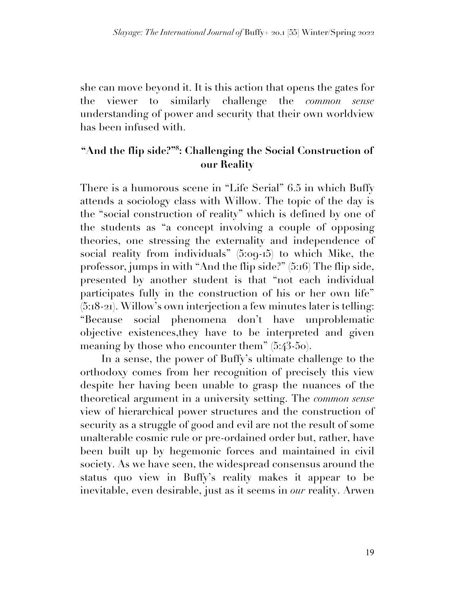she can move beyond it. It is this action that opens the gates for the viewer to similarly challenge the *common sense* understanding of power and security that their own worldview has been infused with.

## **"And the flip side?"8 : Challenging the Social Construction of our Reality**

There is a humorous scene in "Life Serial" 6.5 in which Buffy attends a sociology class with Willow. The topic of the day is the "social construction of reality" which is defined by one of the students as "a concept involving a couple of opposing theories, one stressing the externality and independence of social reality from individuals" (5:09-15) to which Mike, the professor, jumps in with "And the flip side?" (5:16) The flip side, presented by another student is that "not each individual participates fully in the construction of his or her own life" (5:18-21). Willow's own interjection a few minutes later is telling: "Because social phenomena don't have unproblematic objective existences,they have to be interpreted and given meaning by those who encounter them" (5:43-50).

In a sense, the power of Buffy's ultimate challenge to the orthodoxy comes from her recognition of precisely this view despite her having been unable to grasp the nuances of the theoretical argument in a university setting. The *common sense* view of hierarchical power structures and the construction of security as a struggle of good and evil are not the result of some unalterable cosmic rule or pre-ordained order but, rather, have been built up by hegemonic forces and maintained in civil society. As we have seen, the widespread consensus around the status quo view in Buffy's reality makes it appear to be inevitable, even desirable, just as it seems in *our* reality. Arwen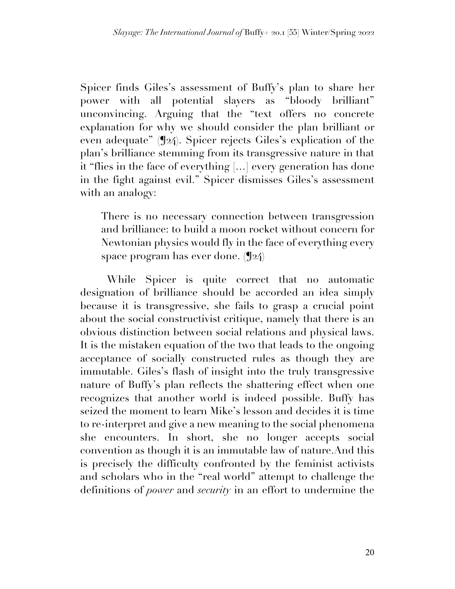Spicer finds Giles's assessment of Buffy's plan to share her power with all potential slayers as "bloody brilliant" unconvincing. Arguing that the "text offers no concrete explanation for why we should consider the plan brilliant or even adequate" (¶24). Spicer rejects Giles's explication of the plan's brilliance stemming from its transgressive nature in that it "flies in the face of everything […] every generation has done in the fight against evil." Spicer dismisses Giles's assessment with an analogy:

There is no necessary connection between transgression and brilliance: to build a moon rocket without concern for Newtonian physics would fly in the face of everything every space program has ever done. (¶24)

While Spicer is quite correct that no automatic designation of brilliance should be accorded an idea simply because it is transgressive, she fails to grasp a crucial point about the social constructivist critique, namely that there is an obvious distinction between social relations and physical laws. It is the mistaken equation of the two that leads to the ongoing acceptance of socially constructed rules as though they are immutable. Giles's flash of insight into the truly transgressive nature of Buffy's plan reflects the shattering effect when one recognizes that another world is indeed possible. Buffy has seized the moment to learn Mike's lesson and decides it is time to re-interpret and give a new meaning to the social phenomena she encounters. In short, she no longer accepts social convention as though it is an immutable law of nature.And this is precisely the difficulty confronted by the feminist activists and scholars who in the "real world" attempt to challenge the definitions of *power* and *security* in an effort to undermine the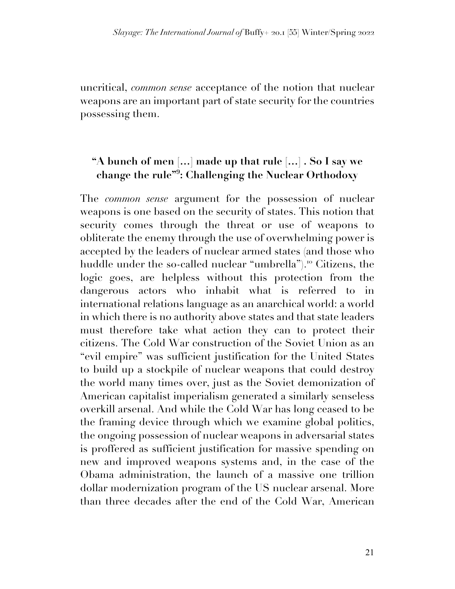uncritical, *common sense* acceptance of the notion that nuclear weapons are an important part of state security for the countries possessing them.

## **"A bunch of men […] made up that rule […] . So I say we change the rule"9 : Challenging the Nuclear Orthodoxy**

The *common sense* argument for the possession of nuclear weapons is one based on the security of states. This notion that security comes through the threat or use of weapons to obliterate the enemy through the use of overwhelming power is accepted by the leaders of nuclear armed states (and those who huddle under the so-called nuclear "umbrella"). <sup>10</sup> Citizens, the logic goes, are helpless without this protection from the dangerous actors who inhabit what is referred to in international relations language as an anarchical world: a world in which there is no authority above states and that state leaders must therefore take what action they can to protect their citizens. The Cold War construction of the Soviet Union as an "evil empire" was sufficient justification for the United States to build up a stockpile of nuclear weapons that could destroy the world many times over, just as the Soviet demonization of American capitalist imperialism generated a similarly senseless overkill arsenal. And while the Cold War has long ceased to be the framing device through which we examine global politics, the ongoing possession of nuclear weapons in adversarial states is proffered as sufficient justification for massive spending on new and improved weapons systems and, in the case of the Obama administration, the launch of a massive one trillion dollar modernization program of the US nuclear arsenal. More than three decades after the end of the Cold War, American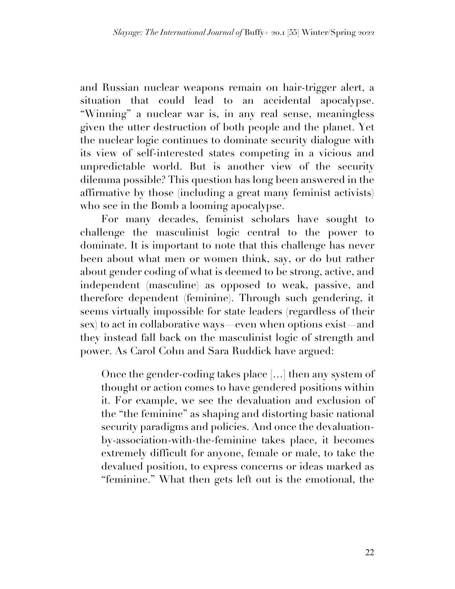and Russian nuclear weapons remain on hair-trigger alert, a situation that could lead to an accidental apocalypse. "Winning" a nuclear war is, in any real sense, meaningless given the utter destruction of both people and the planet. Yet the nuclear logic continues to dominate security dialogue with its view of self-interested states competing in a vicious and unpredictable world. But is another view of the security dilemma possible? This question has long been answered in the affirmative by those (including a great many feminist activists) who see in the Bomb a looming apocalypse.

For many decades, feminist scholars have sought to challenge the masculinist logic central to the power to dominate. It is important to note that this challenge has never been about what men or women think, say, or do but rather about gender coding of what is deemed to be strong, active, and independent (masculine) as opposed to weak, passive, and therefore dependent (feminine). Through such gendering, it seems virtually impossible for state leaders (regardless of their sex) to act in collaborative ways—even when options exist—and they instead fall back on the masculinist logic of strength and power. As Carol Cohn and Sara Ruddick have argued:

Once the gender-coding takes place […] then any system of thought or action comes to have gendered positions within it. For example, we see the devaluation and exclusion of the "the feminine" as shaping and distorting basic national security paradigms and policies. And once the devaluationby-association-with-the-feminine takes place, it becomes extremely difficult for anyone, female or male, to take the devalued position, to express concerns or ideas marked as "feminine." What then gets left out is the emotional, the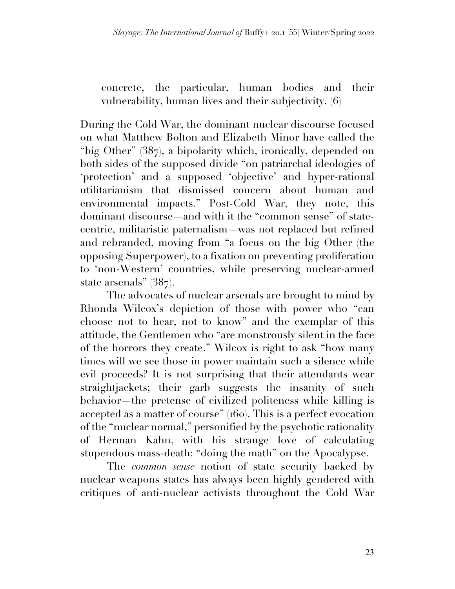concrete, the particular, human bodies and their vulnerability, human lives and their subjectivity. (6)

During the Cold War, the dominant nuclear discourse focused on what Matthew Bolton and Elizabeth Minor have called the "big Other" (387), a bipolarity which, ironically, depended on both sides of the supposed divide "on patriarchal ideologies of 'protection' and a supposed 'objective' and hyper-rational utilitarianism that dismissed concern about human and environmental impacts." Post-Cold War, they note, this dominant discourse—and with it the "common sense" of statecentric, militaristic paternalism—was not replaced but refined and rebranded, moving from "a focus on the big Other (the opposing Superpower), to a fixation on preventing proliferation to 'non-Western' countries, while preserving nuclear-armed state arsenals" (387).

The advocates of nuclear arsenals are brought to mind by Rhonda Wilcox's depiction of those with power who "can choose not to hear, not to know" and the exemplar of this attitude, the Gentlemen who "are monstrously silent in the face of the horrors they create." Wilcox is right to ask "how many times will we see those in power maintain such a silence while evil proceeds? It is not surprising that their attendants wear straightjackets; their garb suggests the insanity of such behavior—the pretense of civilized politeness while killing is accepted as a matter of course" (160). This is a perfect evocation of the "nuclear normal," personified by the psychotic rationality of Herman Kahn, with his strange love of calculating stupendous mass-death: "doing the math" on the Apocalypse.

The *common sense* notion of state security backed by nuclear weapons states has always been highly gendered with critiques of anti-nuclear activists throughout the Cold War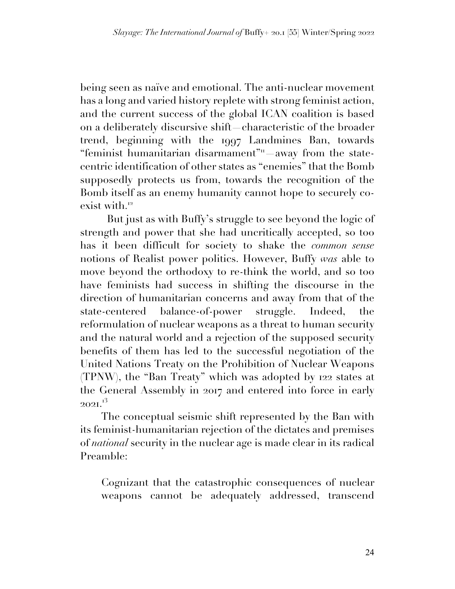being seen as naïve and emotional. The anti-nuclear movement has a long and varied history replete with strong feminist action, and the current success of the global ICAN coalition is based on a deliberately discursive shift—characteristic of the broader trend, beginning with the 1997 Landmines Ban, towards "feminist humanitarian disarmament"<sup>11</sup> away from the statecentric identification of other states as "enemies" that the Bomb supposedly protects us from, towards the recognition of the Bomb itself as an enemy humanity cannot hope to securely coexist with. 12

But just as with Buffy's struggle to see beyond the logic of strength and power that she had uncritically accepted, so too has it been difficult for society to shake the *common sense* notions of Realist power politics. However, Buffy *was* able to move beyond the orthodoxy to re-think the world, and so too have feminists had success in shifting the discourse in the direction of humanitarian concerns and away from that of the state-centered balance-of-power struggle. Indeed, the reformulation of nuclear weapons as a threat to human security and the natural world and a rejection of the supposed security benefits of them has led to the successful negotiation of the United Nations Treaty on the Prohibition of Nuclear Weapons (TPNW), the "Ban Treaty" which was adopted by 122 states at the General Assembly in 2017 and entered into force in early  $202$ I. $^{13}$ 

The conceptual seismic shift represented by the Ban with its feminist-humanitarian rejection of the dictates and premises of *national* security in the nuclear age is made clear in its radical Preamble:

Cognizant that the catastrophic consequences of nuclear weapons cannot be adequately addressed, transcend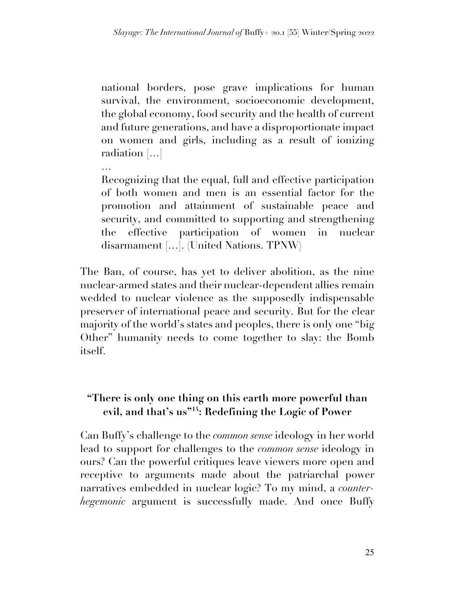national borders, pose grave implications for human survival, the environment, socioeconomic development, the global economy, food security and the health of current and future generations, and have a disproportionate impact on women and girls, including as a result of ionizing radiation […]

… Recognizing that the equal, full and effective participation of both women and men is an essential factor for the promotion and attainment of sustainable peace and security, and committed to supporting and strengthening the effective participation of women in nuclear disarmament […]. (United Nations. TPNW)

The Ban, of course, has yet to deliver abolition, as the nine nuclear-armed states and their nuclear-dependent allies remain wedded to nuclear violence as the supposedly indispensable preserver of international peace and security. But for the clear majority of the world's states and peoples, there is only one "big Other" humanity needs to come together to slay: the Bomb itself.

## **"There is only one thing on this earth more powerful than evil, and that's us"14: Redefining the Logic of Power**

Can Buffy's challenge to the *common sense* ideology in her world lead to support for challenges to the *common sense* ideology in ours? Can the powerful critiques leave viewers more open and receptive to arguments made about the patriarchal power narratives embedded in nuclear logic? To my mind, a *counterhegemonic* argument is successfully made. And once Buffy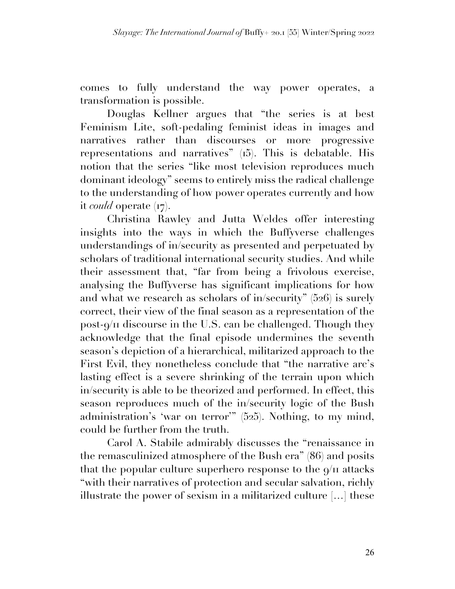comes to fully understand the way power operates, a transformation is possible.

Douglas Kellner argues that "the series is at best Feminism Lite, soft-pedaling feminist ideas in images and narratives rather than discourses or more progressive representations and narratives" (15). This is debatable. His notion that the series "like most television reproduces much dominant ideology" seems to entirely miss the radical challenge to the understanding of how power operates currently and how it *could* operate (17).

Christina Rawley and Jutta Weldes offer interesting insights into the ways in which the Buffyverse challenges understandings of in/security as presented and perpetuated by scholars of traditional international security studies. And while their assessment that, "far from being a frivolous exercise, analysing the Buffyverse has significant implications for how and what we research as scholars of in/security" (526) is surely correct, their view of the final season as a representation of the post-9/11 discourse in the U.S. can be challenged. Though they acknowledge that the final episode undermines the seventh season's depiction of a hierarchical, militarized approach to the First Evil, they nonetheless conclude that "the narrative arc's lasting effect is a severe shrinking of the terrain upon which in/security is able to be theorized and performed. In effect, this season reproduces much of the in/security logic of the Bush administration's 'war on terror'" (525). Nothing, to my mind, could be further from the truth.

Carol A. Stabile admirably discusses the "renaissance in the remasculinized atmosphere of the Bush era" (86) and posits that the popular culture superhero response to the  $9/11$  attacks "with their narratives of protection and secular salvation, richly illustrate the power of sexism in a militarized culture […] these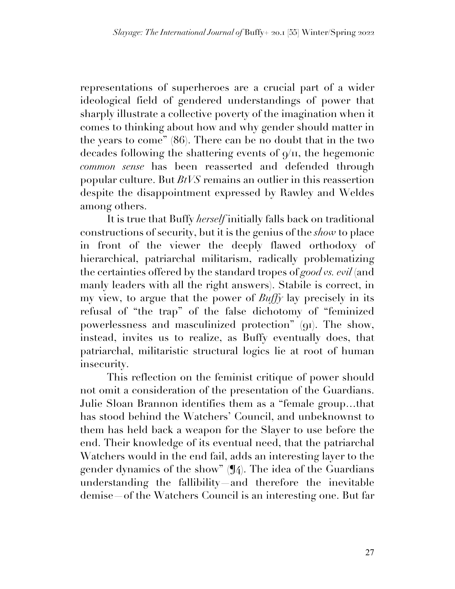representations of superheroes are a crucial part of a wider ideological field of gendered understandings of power that sharply illustrate a collective poverty of the imagination when it comes to thinking about how and why gender should matter in the years to come" (86). There can be no doubt that in the two decades following the shattering events of  $\varphi/\pi$ , the hegemonic *common sense* has been reasserted and defended through popular culture. But *BtVS* remains an outlier in this reassertion despite the disappointment expressed by Rawley and Weldes among others.

It is true that Buffy *herself* initially falls back on traditional constructions of security, but it is the genius of the *show* to place in front of the viewer the deeply flawed orthodoxy of hierarchical, patriarchal militarism, radically problematizing the certainties offered by the standard tropes of *good vs. evil* (and manly leaders with all the right answers). Stabile is correct, in my view, to argue that the power of *Buffy* lay precisely in its refusal of "the trap" of the false dichotomy of "feminized powerlessness and masculinized protection" (91). The show, instead, invites us to realize, as Buffy eventually does, that patriarchal, militaristic structural logics lie at root of human insecurity.

This reflection on the feminist critique of power should not omit a consideration of the presentation of the Guardians. Julie Sloan Brannon identifies them as a "female group…that has stood behind the Watchers' Council, and unbeknownst to them has held back a weapon for the Slayer to use before the end. Their knowledge of its eventual need, that the patriarchal Watchers would in the end fail, adds an interesting layer to the gender dynamics of the show" (¶4). The idea of the Guardians understanding the fallibility—and therefore the inevitable demise—of the Watchers Council is an interesting one. But far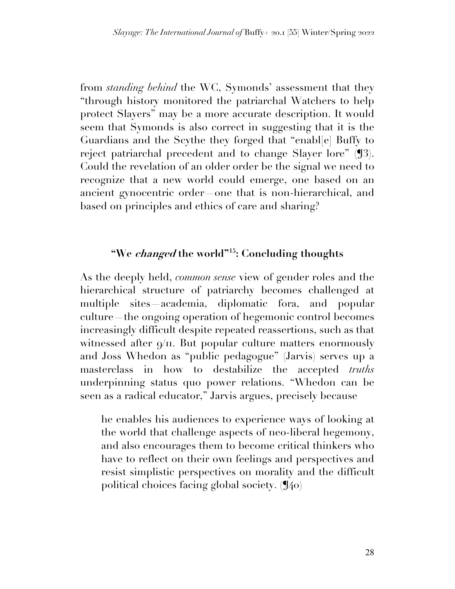from *standing behind* the WC, Symonds' assessment that they "through history monitored the patriarchal Watchers to help protect Slayers" may be a more accurate description. It would seem that Symonds is also correct in suggesting that it is the Guardians and the Scythe they forged that "enabl[e] Buffy to reject patriarchal precedent and to change Slayer lore" (¶3). Could the revelation of an older order be the signal we need to recognize that a new world could emerge, one based on an ancient gynocentric order—one that is non-hierarchical, and based on principles and ethics of care and sharing?

## **"We changed the world"15: Concluding thoughts**

As the deeply held, *common sense* view of gender roles and the hierarchical structure of patriarchy becomes challenged at multiple sites—academia, diplomatic fora, and popular culture—the ongoing operation of hegemonic control becomes increasingly difficult despite repeated reassertions, such as that witnessed after  $\varphi$ <sup>III</sup>. But popular culture matters enormously and Joss Whedon as "public pedagogue" (Jarvis) serves up a masterclass in how to destabilize the accepted *truths* underpinning status quo power relations. "Whedon can be seen as a radical educator," Jarvis argues, precisely because

he enables his audiences to experience ways of looking at the world that challenge aspects of neo-liberal hegemony, and also encourages them to become critical thinkers who have to reflect on their own feelings and perspectives and resist simplistic perspectives on morality and the difficult political choices facing global society. (¶40)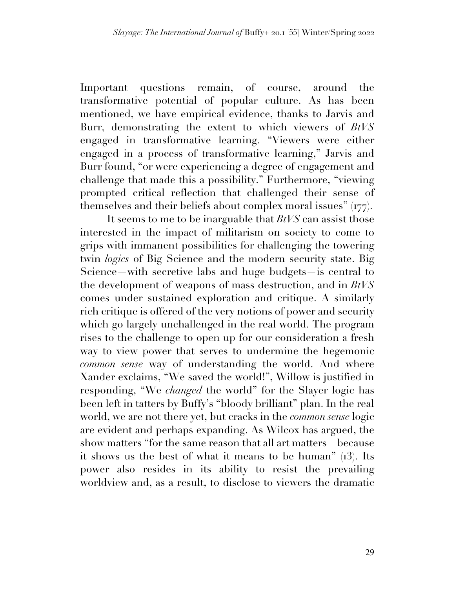Important questions remain, of course, around the transformative potential of popular culture. As has been mentioned, we have empirical evidence, thanks to Jarvis and Burr, demonstrating the extent to which viewers of *BtVS* engaged in transformative learning. "Viewers were either engaged in a process of transformative learning," Jarvis and Burr found, "or were experiencing a degree of engagement and challenge that made this a possibility." Furthermore, "viewing prompted critical reflection that challenged their sense of themselves and their beliefs about complex moral issues" (177).

It seems to me to be inarguable that *BtVS* can assist those interested in the impact of militarism on society to come to grips with immanent possibilities for challenging the towering twin *logics* of Big Science and the modern security state. Big Science—with secretive labs and huge budgets—is central to the development of weapons of mass destruction, and in *BtVS* comes under sustained exploration and critique. A similarly rich critique is offered of the very notions of power and security which go largely unchallenged in the real world. The program rises to the challenge to open up for our consideration a fresh way to view power that serves to undermine the hegemonic *common sense* way of understanding the world. And where Xander exclaims, "We saved the world!", Willow is justified in responding, "We *changed* the world" for the Slayer logic has been left in tatters by Buffy's "bloody brilliant" plan. In the real world, we are not there yet, but cracks in the *common sense* logic are evident and perhaps expanding. As Wilcox has argued, the show matters "for the same reason that all art matters—because it shows us the best of what it means to be human" (13). Its power also resides in its ability to resist the prevailing worldview and, as a result, to disclose to viewers the dramatic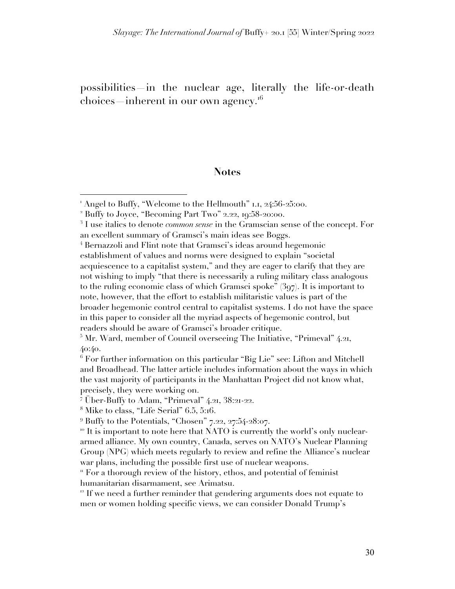possibilities—in the nuclear age, literally the life-or-death choices inherent in our own agency.<sup>16</sup>

#### **Notes**

<sup>5</sup> Mr. Ward, member of Council overseeing The Initiative, "Primeval" 4.21, 40:40.

<sup>6</sup> For further information on this particular "Big Lie" see: Lifton and Mitchell and Broadhead. The latter article includes information about the ways in which the vast majority of participants in the Manhattan Project did not know what, precisely, they were working on.

<sup>7</sup> Über-Buffy to Adam, "Primeval" 4.21, 38:21-22.

 $12$  If we need a further reminder that gendering arguments does not equate to men or women holding specific views, we can consider Donald Trump's

<sup>&</sup>lt;sup>1</sup> Angel to Buffy, "Welcome to the Hellmouth" 1.1, 24:56-25:00.

<sup>2</sup> Buffy to Joyce, "Becoming Part Two" 2.22, 19:58-20:00.

<sup>3</sup> I use italics to denote *common sense* in the Gramscian sense of the concept. For an excellent summary of Gramsci's main ideas see Boggs.

<sup>4</sup> Bernazzoli and Flint note that Gramsci's ideas around hegemonic establishment of values and norms were designed to explain "societal acquiescence to a capitalist system," and they are eager to clarify that they are not wishing to imply "that there is necessarily a ruling military class analogous to the ruling economic class of which Gramsci spoke" (397). It is important to note, however, that the effort to establish militaristic values is part of the broader hegemonic control central to capitalist systems. I do not have the space in this paper to consider all the myriad aspects of hegemonic control, but readers should be aware of Gramsci's broader critique.

<sup>8</sup> Mike to class, "Life Serial" 6.5, 5:16.

 $9$  Buffy to the Potentials, "Chosen" 7.22, 27:54-28:07.

 $10$  It is important to note here that NATO is currently the world's only nucleararmed alliance. My own country, Canada, serves on NATO's Nuclear Planning Group (NPG) which meets regularly to review and refine the Alliance's nuclear war plans, including the possible first use of nuclear weapons.

<sup>&</sup>lt;sup>"</sup> For a thorough review of the history, ethos, and potential of feminist humanitarian disarmament, see Arimatsu.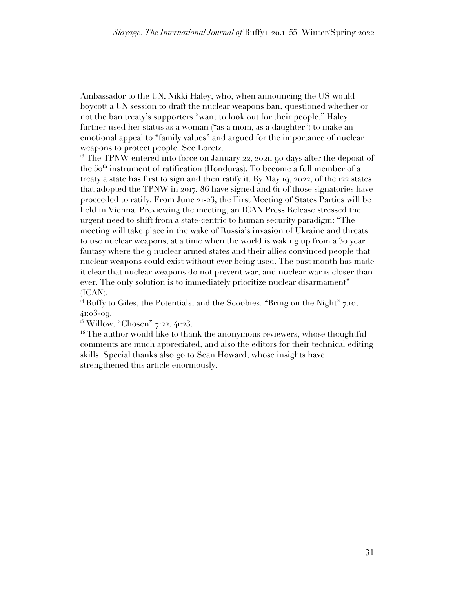Ambassador to the UN, Nikki Haley, who, when announcing the US would boycott a UN session to draft the nuclear weapons ban, questioned whether or not the ban treaty's supporters "want to look out for their people." Haley further used her status as a woman ("as a mom, as a daughter") to make an emotional appeal to "family values" and argued for the importance of nuclear weapons to protect people. See Loretz.

 $13$  The TPNW entered into force on January 22, 2021, 90 days after the deposit of the 50<sup>th</sup> instrument of ratification (Honduras). To become a full member of a treaty a state has first to sign and then ratify it. By May 19, 2022, of the 122 states that adopted the TPNW in 2017, 86 have signed and 61 of those signatories have proceeded to ratify. From June 21-23, the First Meeting of States Parties will be held in Vienna. Previewing the meeting, an ICAN Press Release stressed the urgent need to shift from a state-centric to human security paradigm: "The meeting will take place in the wake of Russia's invasion of Ukraine and threats to use nuclear weapons, at a time when the world is waking up from a 30 year fantasy where the 9 nuclear armed states and their allies convinced people that nuclear weapons could exist without ever being used. The past month has made it clear that nuclear weapons do not prevent war, and nuclear war is closer than ever. The only solution is to immediately prioritize nuclear disarmament" (ICAN).

 $14$  Buffy to Giles, the Potentials, and the Scoobies. "Bring on the Night" 7.10, 41:03-09.

<sup>15</sup> Willow, "Chosen" 7:22, 41:23.

<sup>16</sup> The author would like to thank the anonymous reviewers, whose thoughtful comments are much appreciated, and also the editors for their technical editing skills. Special thanks also go to Sean Howard, whose insights have strengthened this article enormously.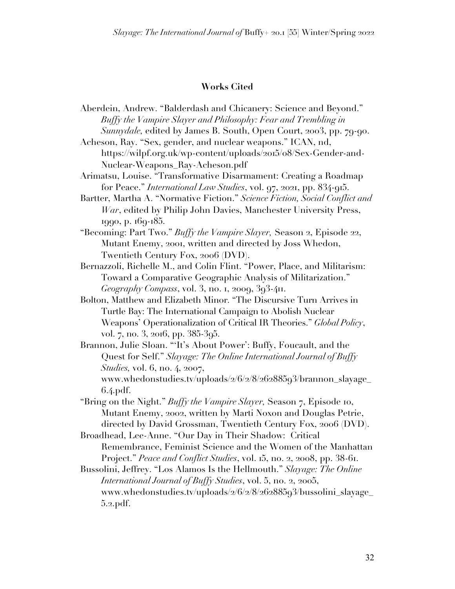#### **Works Cited**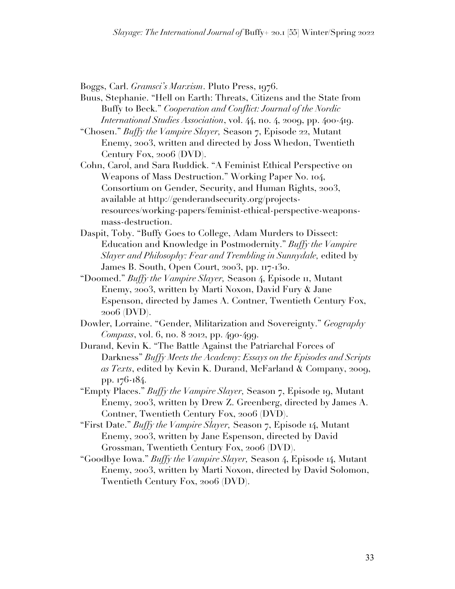Boggs, Carl. *Gramsci's Marxism*. Pluto Press, 1976.

- Buus, Stephanie. "Hell on Earth: Threats, Citizens and the State from Buffy to Beck." *Cooperation and Conflict: Journal of the Nordic International Studies Association*, vol. 44, no. 4, 2009, pp. 400-419.
- "Chosen." *Buffy the Vampire Slayer,* Season 7, Episode 22, Mutant Enemy, 2003, written and directed by Joss Whedon, Twentieth Century Fox, 2006 (DVD).
- Cohn, Carol, and Sara Ruddick. "A Feminist Ethical Perspective on Weapons of Mass Destruction." Working Paper No. 104, Consortium on Gender, Security, and Human Rights, 2003, available at http://genderandsecurity.org/projectsresources/working-papers/feminist-ethical-perspective-weaponsmass-destruction.
- Daspit, Toby. "Buffy Goes to College, Adam Murders to Dissect: Education and Knowledge in Postmodernity." *Buffy the Vampire Slayer and Philosophy: Fear and Trembling in Sunnydale,* edited by James B. South, Open Court, 2003, pp. 117-130.
- "Doomed." *Buffy the Vampire Slayer,* Season 4, Episode 11, Mutant Enemy, 2003, written by Marti Noxon, David Fury & Jane Espenson, directed by James A. Contner, Twentieth Century Fox, 2006 (DVD).
- Dowler, Lorraine. "Gender, Militarization and Sovereignty." *Geography Compass*, vol. 6, no. 8 2012, pp. 490-499.
- Durand, Kevin K. "The Battle Against the Patriarchal Forces of Darkness" *Buffy Meets the Academy: Essays on the Episodes and Scripts as Texts*, edited by Kevin K. Durand, McFarland & Company, 2009, pp. 176-184.
- "Empty Places." *Buffy the Vampire Slayer,* Season 7, Episode 19, Mutant Enemy, 2003, written by Drew Z. Greenberg, directed by James A. Contner, Twentieth Century Fox, 2006 (DVD).
- "First Date." *Buffy the Vampire Slayer,* Season 7, Episode 14, Mutant Enemy, 2003, written by Jane Espenson, directed by David Grossman, Twentieth Century Fox, 2006 (DVD).
- "Goodbye Iowa." *Buffy the Vampire Slayer,* Season 4, Episode 14, Mutant Enemy, 2003, written by Marti Noxon, directed by David Solomon, Twentieth Century Fox, 2006 (DVD).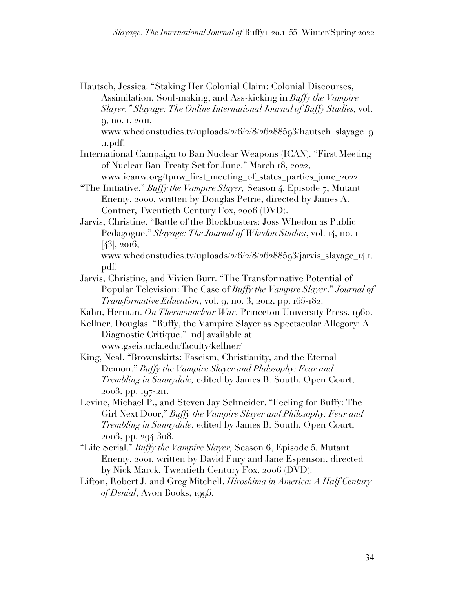Hautsch, Jessica. "Staking Her Colonial Claim: Colonial Discourses, Assimilation, Soul-making, and Ass-kicking in *Buffy the Vampire Slayer." Slayage: The Online International Journal of Buffy Studies,* vol. 9, no. 1, 2011, www.whedonstudies.tv/uploads/2/6/2/8/26288593/hautsch\_slayage\_9 .1.pdf. International Campaign to Ban Nuclear Weapons (ICAN). "First Meeting of Nuclear Ban Treaty Set for June." March 18, 2022, www.icanw.org/tpnw\_first\_meeting\_of\_states\_parties\_june\_2022. "The Initiative." *Buffy the Vampire Slayer,* Season 4, Episode 7, Mutant Enemy, 2000, written by Douglas Petrie, directed by James A. Contner, Twentieth Century Fox, 2006 (DVD). Jarvis, Christine. "Battle of the Blockbusters: Joss Whedon as Public

Pedagogue." *Slayage: The Journal of Whedon Studies*, vol. 14, no. 1 [43], 2016,

www.whedonstudies.tv/uploads/2/6/2/8/26288593/jarvis\_slayage\_14.1. pdf.

Jarvis, Christine, and Vivien Burr. "The Transformative Potential of Popular Television: The Case of *Buffy the Vampire Slayer*." *Journal of Transformative Education*, vol. 9, no. 3, 2012, pp. 165-182.

Kahn, Herman. *On Thermonuclear War*. Princeton University Press, 1960.

Kellner, Douglas. "Buffy, the Vampire Slayer as Spectacular Allegory: A Diagnostic Critique." [nd] available at www.gseis.ucla.edu/faculty/kellner/

- King, Neal. "Brownskirts: Fascism, Christianity, and the Eternal Demon." *Buffy the Vampire Slayer and Philosophy: Fear and Trembling in Sunnydale,* edited by James B. South, Open Court, 2003, pp. 197-211.
- Levine, Michael P., and Steven Jay Schneider. "Feeling for Buffy: The Girl Next Door," *Buffy the Vampire Slayer and Philosophy: Fear and Trembling in Sunnydale*, edited by James B. South, Open Court, 2003, pp. 294-308.
- "Life Serial." *Buffy the Vampire Slayer,* Season 6, Episode 5, Mutant Enemy, 2001, written by David Fury and Jane Espenson, directed by Nick Marck, Twentieth Century Fox, 2006 (DVD).
- Lifton, Robert J. and Greg Mitchell. *Hiroshima in America: A Half Century of Denial*, Avon Books, 1995.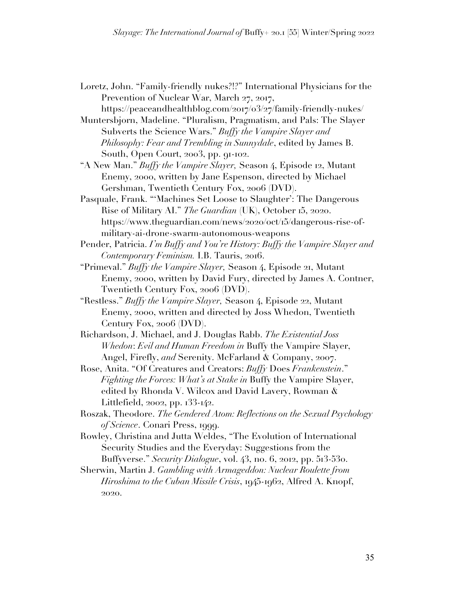Loretz, John. "Family-friendly nukes?!?" International Physicians for the Prevention of Nuclear War, March 27, 2017,

https://peaceandhealthblog.com/2017/03/27/family-friendly-nukes/ Muntersbjorn, Madeline. "Pluralism, Pragmatism, and Pals: The Slayer

Subverts the Science Wars." *Buffy the Vampire Slayer and Philosophy: Fear and Trembling in Sunnydale*, edited by James B. South, Open Court, 2003, pp. 91-102.

"A New Man." *Buffy the Vampire Slayer,* Season 4, Episode 12, Mutant Enemy, 2000, written by Jane Espenson, directed by Michael Gershman, Twentieth Century Fox, 2006 (DVD).

Pasquale, Frank. "'Machines Set Loose to Slaughter': The Dangerous Rise of Military AI." *The Guardian* (UK), October 15, 2020. https://www.theguardian.com/news/2020/oct/15/dangerous-rise-ofmilitary-ai-drone-swarm-autonomous-weapons

Pender, Patricia. *I'm Buffy and You're History: Buffy the Vampire Slayer and Contemporary Feminism.* I.B. Tauris, 2016.

- "Primeval." *Buffy the Vampire Slayer,* Season 4, Episode 21, Mutant Enemy, 2000, written by David Fury, directed by James A. Contner, Twentieth Century Fox, 2006 (DVD).
- "Restless." *Buffy the Vampire Slayer,* Season 4, Episode 22, Mutant Enemy, 2000, written and directed by Joss Whedon, Twentieth Century Fox, 2006 (DVD).
- Richardson, J. Michael, and J. Douglas Rabb. *The Existential Joss Whedon*: *Evil and Human Freedom in* Buffy the Vampire Slayer, Angel, Firefly, *and* Serenity. McFarland & Company, 2007.
- Rose, Anita. "Of Creatures and Creators: *Buffy* Does *Frankenstein*." *Fighting the Forces: What's at Stake in* Buffy the Vampire Slayer, edited by Rhonda V. Wilcox and David Lavery, Rowman & Littlefield, 2002, pp. 133-142.
- Roszak, Theodore. *The Gendered Atom: Reflections on the Sexual Psychology of Science*. Conari Press, 1999.
- Rowley, Christina and Jutta Weldes, "The Evolution of International Security Studies and the Everyday: Suggestions from the Buffyverse." *Security Dialogue*, vol. 43, no. 6, 2012, pp. 513-530.
- Sherwin, Martin J. *Gambling with Armageddon: Nuclear Roulette from Hiroshima to the Cuban Missile Crisis*, 1945-1962, Alfred A. Knopf, 2020.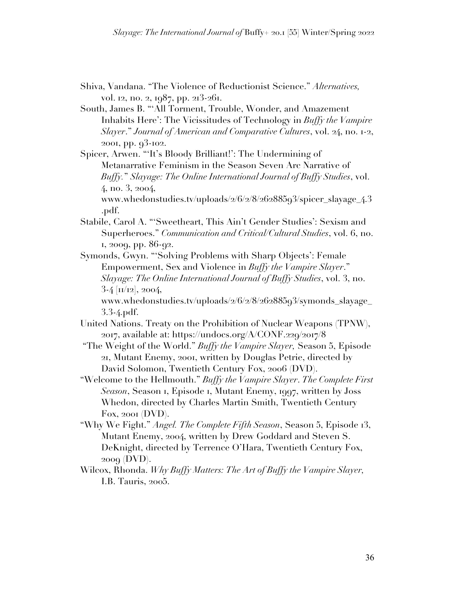- Shiva, Vandana. "The Violence of Reductionist Science." *Alternatives,*  vol. 12, no. 2, 1987, pp. 213-261.
- South, James B. "'All Torment, Trouble, Wonder, and Amazement Inhabits Here': The Vicissitudes of Technology in *Buffy the Vampire Slayer*." *Journal of American and Comparative Cultures*, vol. 24, no. 1-2, 2001, pp. 93-102.

Spicer, Arwen. "'It's Bloody Brilliant!': The Undermining of Metanarrative Feminism in the Season Seven Arc Narrative of *Buffy.*" *Slayage: The Online International Journal of Buffy Studies*, vol. 4, no. 3, 2004, www.whedonstudies.tv/uploads/2/6/2/8/26288593/spicer\_slayage\_4.3

.pdf.

Stabile, Carol A. "'Sweetheart, This Ain't Gender Studies': Sexism and Superheroes." *Communication and Critical/Cultural Studies*, vol. 6, no. 1, 2009, pp. 86-92.

Symonds, Gwyn. "'Solving Problems with Sharp Objects': Female Empowerment, Sex and Violence in *Buffy the Vampire Slayer*." *Slayage: The Online International Journal of Buffy Studies*, vol. 3, no.  $3-4$  [ $\text{II}/\text{I2}$ ], 2004,

www.whedonstudies.tv/uploads/2/6/2/8/26288593/symonds\_slayage\_ 3.3-4.pdf.

- United Nations. Treaty on the Prohibition of Nuclear Weapons (TPNW), 2017, available at: https://undocs.org/A/CONF.229/2017/8
- "The Weight of the World." *Buffy the Vampire Slayer,* Season 5, Episode 21, Mutant Enemy, 2001, written by Douglas Petrie, directed by David Solomon, Twentieth Century Fox, 2006 (DVD).

"Welcome to the Hellmouth." *Buffy the Vampire Slayer*. *The Complete First Season*, Season 1, Episode 1, Mutant Enemy, 1997, written by Joss Whedon, directed by Charles Martin Smith, Twentieth Century Fox, 2001 (DVD).

- "Why We Fight." *Angel. The Complete Fifth Season*, Season 5, Episode 13, Mutant Enemy, 2004, written by Drew Goddard and Steven S. DeKnight, directed by Terrence O'Hara, Twentieth Century Fox, 2009 (DVD).
- Wilcox, Rhonda. *Why Buffy Matters: The Art of Buffy the Vampire Slayer,* I.B. Tauris, 2005.